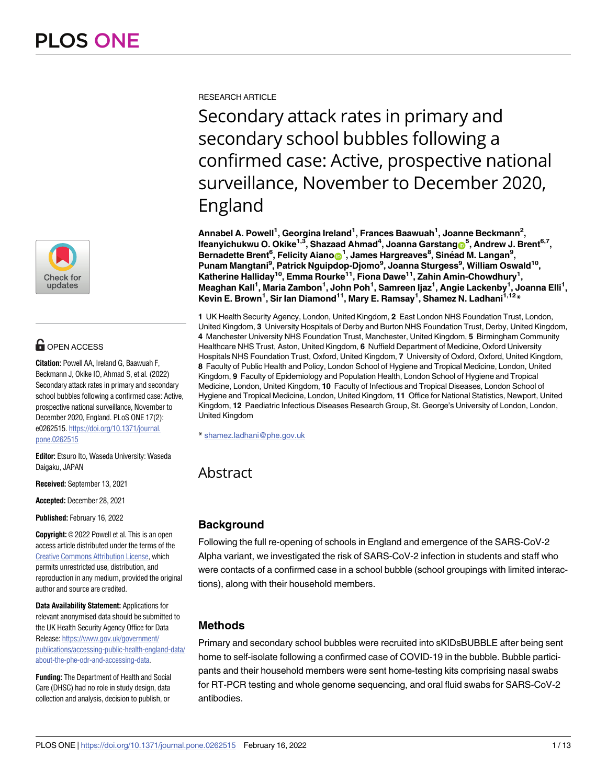

# **G** OPEN ACCESS

**Citation:** Powell AA, Ireland G, Baawuah F, Beckmann J, Okike IO, Ahmad S, et al. (2022) Secondary attack rates in primary and secondary school bubbles following a confirmed case: Active, prospective national surveillance, November to December 2020, England. PLoS ONE 17(2): e0262515. [https://doi.org/10.1371/journal.](https://doi.org/10.1371/journal.pone.0262515) [pone.0262515](https://doi.org/10.1371/journal.pone.0262515)

**Editor:** Etsuro Ito, Waseda University: Waseda Daigaku, JAPAN

**Received:** September 13, 2021

**Accepted:** December 28, 2021

**Published:** February 16, 2022

**Copyright:** © 2022 Powell et al. This is an open access article distributed under the terms of the Creative Commons [Attribution](http://creativecommons.org/licenses/by/4.0/) License, which permits unrestricted use, distribution, and reproduction in any medium, provided the original author and source are credited.

**Data Availability Statement:** Applications for relevant anonymised data should be submitted to the UK Health Security Agency Office for Data Release: [https://www.gov.uk/government/](https://www.gov.uk/government/publications/accessing-public-health-england-data/about-the-phe-odr-and-accessing-data) [publications/accessing-public-health-england-data/](https://www.gov.uk/government/publications/accessing-public-health-england-data/about-the-phe-odr-and-accessing-data) [about-the-phe-odr-and-accessing-data.](https://www.gov.uk/government/publications/accessing-public-health-england-data/about-the-phe-odr-and-accessing-data)

**Funding:** The Department of Health and Social Care (DHSC) had no role in study design, data collection and analysis, decision to publish, or

RESEARCH ARTICLE

Secondary attack rates in primary and secondary school bubbles following a confirmed case: Active, prospective national surveillance, November to December 2020, England

**Annabel A. Powell1 , Georgina Ireland1 , Frances Baawuah1 , Joanne Beckmann2 , Ifeanyichukwu O. Okike1,3, Shazaad Ahmad4 , Joanna Garstang[ID5](https://orcid.org/0000-0001-9268-0581) , Andrew J. Brent6,7,**  $B$ ernadette Brent<sup>6</sup>, Felicity Aianon<sup>1</sup>, James Hargreaves<sup>8</sup>, Sinéad M. Langan<sup>9</sup>, **Punam Mangtani9 , Patrick Nguipdop-Djomo9 , Joanna Sturgess9 , William Oswald10, Katherine Halliday10, Emma Rourke11, Fiona Dawe11, Zahin Amin-Chowdhury1 , Meaghan Kall1 , Maria Zambon1 , John Poh1 , Samreen Ijaz1 , Angie Lackenby1 , Joanna Elli1 , Kevin E. Brown1 , Sir Ian Diamond11, Mary E. Ramsay1 , Shamez N. Ladhani1,12\***

**1** UK Health Security Agency, London, United Kingdom, **2** East London NHS Foundation Trust, London, United Kingdom, **3** University Hospitals of Derby and Burton NHS Foundation Trust, Derby, United Kingdom, **4** Manchester University NHS Foundation Trust, Manchester, United Kingdom, **5** Birmingham Community Healthcare NHS Trust, Aston, United Kingdom, **6** Nuffield Department of Medicine, Oxford University Hospitals NHS Foundation Trust, Oxford, United Kingdom, **7** University of Oxford, Oxford, United Kingdom, **8** Faculty of Public Health and Policy, London School of Hygiene and Tropical Medicine, London, United Kingdom, **9** Faculty of Epidemiology and Population Health, London School of Hygiene and Tropical Medicine, London, United Kingdom, **10** Faculty of Infectious and Tropical Diseases, London School of Hygiene and Tropical Medicine, London, United Kingdom, **11** Office for National Statistics, Newport, United Kingdom, **12** Paediatric Infectious Diseases Research Group, St. George's University of London, London, United Kingdom

\* shamez.ladhani@phe.gov.uk

Abstract

# **Background**

Following the full re-opening of schools in England and emergence of the SARS-CoV-2 Alpha variant, we investigated the risk of SARS-CoV-2 infection in students and staff who were contacts of a confirmed case in a school bubble (school groupings with limited interactions), along with their household members.

# **Methods**

Primary and secondary school bubbles were recruited into sKIDsBUBBLE after being sent home to self-isolate following a confirmed case of COVID-19 in the bubble. Bubble participants and their household members were sent home-testing kits comprising nasal swabs for RT-PCR testing and whole genome sequencing, and oral fluid swabs for SARS-CoV-2 antibodies.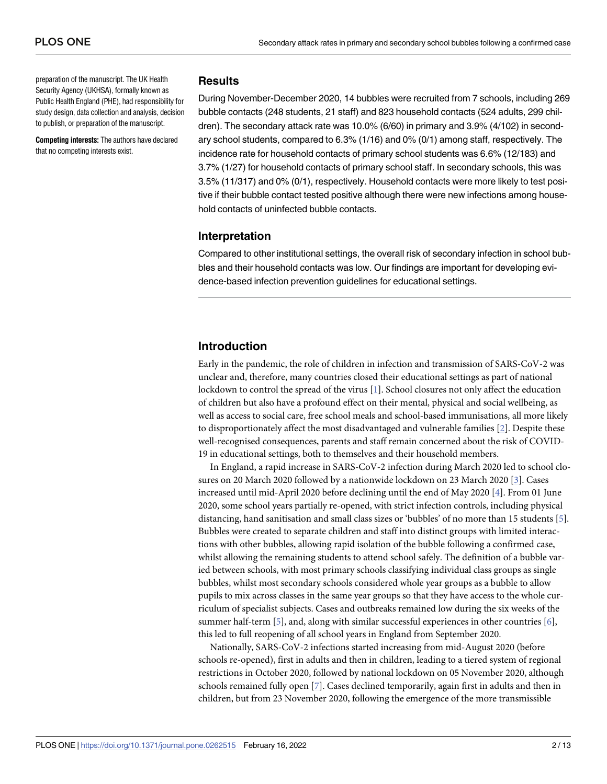<span id="page-1-0"></span>preparation of the manuscript. The UK Health Security Agency (UKHSA), formally known as Public Health England (PHE), had responsibility for study design, data collection and analysis, decision to publish, or preparation of the manuscript.

**Competing interests:** The authors have declared that no competing interests exist.

## **Results**

During November-December 2020, 14 bubbles were recruited from 7 schools, including 269 bubble contacts (248 students, 21 staff) and 823 household contacts (524 adults, 299 children). The secondary attack rate was 10.0% (6/60) in primary and 3.9% (4/102) in secondary school students, compared to 6.3% (1/16) and 0% (0/1) among staff, respectively. The incidence rate for household contacts of primary school students was 6.6% (12/183) and 3.7% (1/27) for household contacts of primary school staff. In secondary schools, this was 3.5% (11/317) and 0% (0/1), respectively. Household contacts were more likely to test positive if their bubble contact tested positive although there were new infections among household contacts of uninfected bubble contacts.

# **Interpretation**

Compared to other institutional settings, the overall risk of secondary infection in school bubbles and their household contacts was low. Our findings are important for developing evidence-based infection prevention guidelines for educational settings.

# **Introduction**

Early in the pandemic, the role of children in infection and transmission of SARS-CoV-2 was unclear and, therefore, many countries closed their educational settings as part of national lockdown to control the spread of the virus [[1](#page-10-0)]. School closures not only affect the education of children but also have a profound effect on their mental, physical and social wellbeing, as well as access to social care, free school meals and school-based immunisations, all more likely to disproportionately affect the most disadvantaged and vulnerable families [\[2](#page-10-0)]. Despite these well-recognised consequences, parents and staff remain concerned about the risk of COVID-19 in educational settings, both to themselves and their household members.

In England, a rapid increase in SARS-CoV-2 infection during March 2020 led to school closures on 20 March 2020 followed by a nationwide lockdown on 23 March 2020 [[3](#page-11-0)]. Cases increased until mid-April 2020 before declining until the end of May 2020 [[4](#page-11-0)]. From 01 June 2020, some school years partially re-opened, with strict infection controls, including physical distancing, hand sanitisation and small class sizes or 'bubbles' of no more than 15 students [[5\]](#page-11-0). Bubbles were created to separate children and staff into distinct groups with limited interactions with other bubbles, allowing rapid isolation of the bubble following a confirmed case, whilst allowing the remaining students to attend school safely. The definition of a bubble varied between schools, with most primary schools classifying individual class groups as single bubbles, whilst most secondary schools considered whole year groups as a bubble to allow pupils to mix across classes in the same year groups so that they have access to the whole curriculum of specialist subjects. Cases and outbreaks remained low during the six weeks of the summer half-term  $[5]$  $[5]$  $[5]$ , and, along with similar successful experiences in other countries  $[6]$  $[6]$ , this led to full reopening of all school years in England from September 2020.

Nationally, SARS-CoV-2 infections started increasing from mid-August 2020 (before schools re-opened), first in adults and then in children, leading to a tiered system of regional restrictions in October 2020, followed by national lockdown on 05 November 2020, although schools remained fully open [\[7\]](#page-11-0). Cases declined temporarily, again first in adults and then in children, but from 23 November 2020, following the emergence of the more transmissible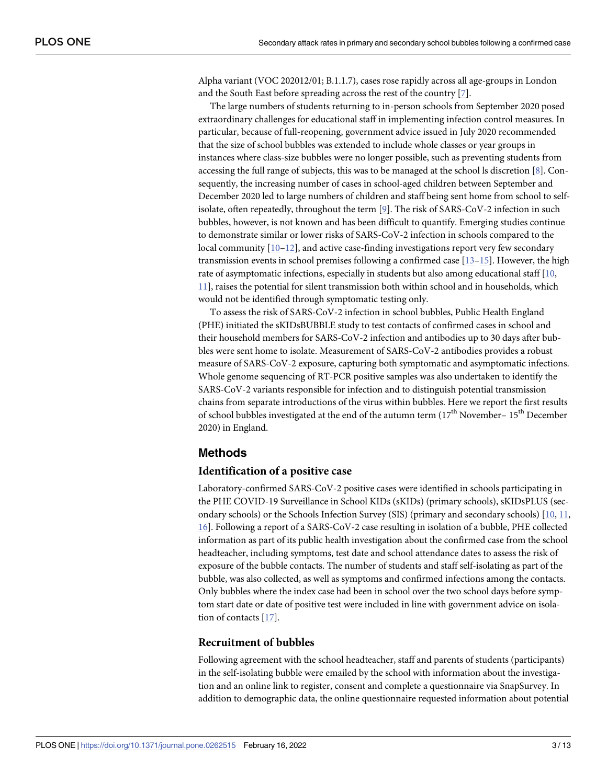<span id="page-2-0"></span>Alpha variant (VOC 202012/01; B.1.1.7), cases rose rapidly across all age-groups in London and the South East before spreading across the rest of the country [\[7\]](#page-11-0).

The large numbers of students returning to in-person schools from September 2020 posed extraordinary challenges for educational staff in implementing infection control measures. In particular, because of full-reopening, government advice issued in July 2020 recommended that the size of school bubbles was extended to include whole classes or year groups in instances where class-size bubbles were no longer possible, such as preventing students from accessing the full range of subjects, this was to be managed at the school ls discretion [\[8\]](#page-11-0). Consequently, the increasing number of cases in school-aged children between September and December 2020 led to large numbers of children and staff being sent home from school to selfisolate, often repeatedly, throughout the term [[9](#page-11-0)]. The risk of SARS-CoV-2 infection in such bubbles, however, is not known and has been difficult to quantify. Emerging studies continue to demonstrate similar or lower risks of SARS-CoV-2 infection in schools compared to the local community [\[10–12](#page-11-0)], and active case-finding investigations report very few secondary transmission events in school premises following a confirmed case  $[13-15]$ . However, the high rate of asymptomatic infections, especially in students but also among educational staff [\[10,](#page-11-0) [11\]](#page-11-0), raises the potential for silent transmission both within school and in households, which would not be identified through symptomatic testing only.

To assess the risk of SARS-CoV-2 infection in school bubbles, Public Health England (PHE) initiated the sKIDsBUBBLE study to test contacts of confirmed cases in school and their household members for SARS-CoV-2 infection and antibodies up to 30 days after bubbles were sent home to isolate. Measurement of SARS-CoV-2 antibodies provides a robust measure of SARS-CoV-2 exposure, capturing both symptomatic and asymptomatic infections. Whole genome sequencing of RT-PCR positive samples was also undertaken to identify the SARS-CoV-2 variants responsible for infection and to distinguish potential transmission chains from separate introductions of the virus within bubbles. Here we report the first results of school bubbles investigated at the end of the autumn term  $(17<sup>th</sup>$  November–  $15<sup>th</sup>$  December 2020) in England.

# **Methods**

## **Identification of a positive case**

Laboratory-confirmed SARS-CoV-2 positive cases were identified in schools participating in the PHE COVID-19 Surveillance in School KIDs (sKIDs) (primary schools), sKIDsPLUS (secondary schools) or the Schools Infection Survey (SIS) (primary and secondary schools) [\[10,](#page-11-0) [11,](#page-11-0) [16\]](#page-11-0). Following a report of a SARS-CoV-2 case resulting in isolation of a bubble, PHE collected information as part of its public health investigation about the confirmed case from the school headteacher, including symptoms, test date and school attendance dates to assess the risk of exposure of the bubble contacts. The number of students and staff self-isolating as part of the bubble, was also collected, as well as symptoms and confirmed infections among the contacts. Only bubbles where the index case had been in school over the two school days before symptom start date or date of positive test were included in line with government advice on isolation of contacts [\[17\]](#page-11-0).

## **Recruitment of bubbles**

Following agreement with the school headteacher, staff and parents of students (participants) in the self-isolating bubble were emailed by the school with information about the investigation and an online link to register, consent and complete a questionnaire via SnapSurvey. In addition to demographic data, the online questionnaire requested information about potential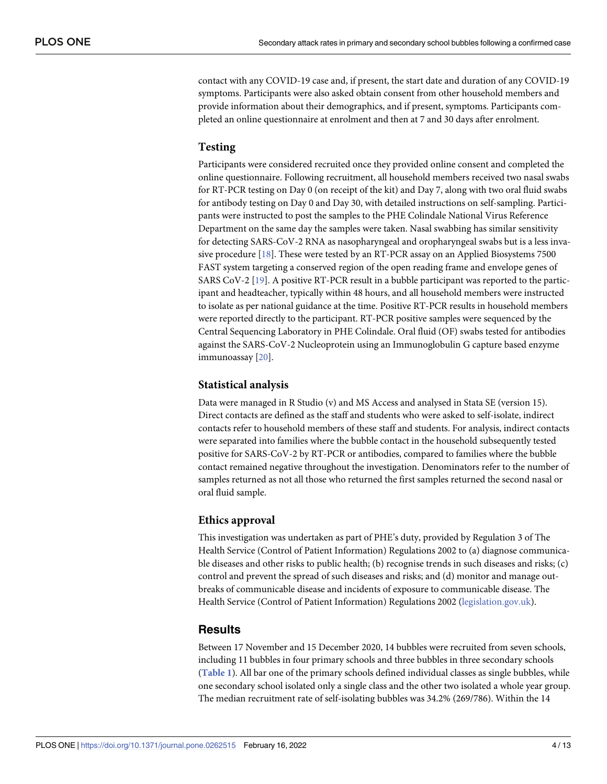<span id="page-3-0"></span>contact with any COVID-19 case and, if present, the start date and duration of any COVID-19 symptoms. Participants were also asked obtain consent from other household members and provide information about their demographics, and if present, symptoms. Participants completed an online questionnaire at enrolment and then at 7 and 30 days after enrolment.

#### **Testing**

Participants were considered recruited once they provided online consent and completed the online questionnaire. Following recruitment, all household members received two nasal swabs for RT-PCR testing on Day 0 (on receipt of the kit) and Day 7, along with two oral fluid swabs for antibody testing on Day 0 and Day 30, with detailed instructions on self-sampling. Participants were instructed to post the samples to the PHE Colindale National Virus Reference Department on the same day the samples were taken. Nasal swabbing has similar sensitivity for detecting SARS-CoV-2 RNA as nasopharyngeal and oropharyngeal swabs but is a less invasive procedure [[18](#page-11-0)]. These were tested by an RT-PCR assay on an Applied Biosystems 7500 FAST system targeting a conserved region of the open reading frame and envelope genes of SARS CoV-2 [\[19\]](#page-11-0). A positive RT-PCR result in a bubble participant was reported to the participant and headteacher, typically within 48 hours, and all household members were instructed to isolate as per national guidance at the time. Positive RT-PCR results in household members were reported directly to the participant. RT-PCR positive samples were sequenced by the Central Sequencing Laboratory in PHE Colindale. Oral fluid (OF) swabs tested for antibodies against the SARS-CoV-2 Nucleoprotein using an Immunoglobulin G capture based enzyme immunoassay [[20](#page-11-0)].

#### **Statistical analysis**

Data were managed in R Studio (v) and MS Access and analysed in Stata SE (version 15). Direct contacts are defined as the staff and students who were asked to self-isolate, indirect contacts refer to household members of these staff and students. For analysis, indirect contacts were separated into families where the bubble contact in the household subsequently tested positive for SARS-CoV-2 by RT-PCR or antibodies, compared to families where the bubble contact remained negative throughout the investigation. Denominators refer to the number of samples returned as not all those who returned the first samples returned the second nasal or oral fluid sample.

#### **Ethics approval**

This investigation was undertaken as part of PHE's duty, provided by Regulation 3 of The Health Service (Control of Patient Information) Regulations 2002 to (a) diagnose communicable diseases and other risks to public health; (b) recognise trends in such diseases and risks; (c) control and prevent the spread of such diseases and risks; and (d) monitor and manage outbreaks of communicable disease and incidents of exposure to communicable disease. The Health Service (Control of Patient Information) Regulations 2002 [\(legislation.gov.uk\)](http://legislation.gov.uk).

## **Results**

Between 17 November and 15 December 2020, 14 bubbles were recruited from seven schools, including 11 bubbles in four primary schools and three bubbles in three secondary schools (**[Table](#page-4-0) 1**). All bar one of the primary schools defined individual classes as single bubbles, while one secondary school isolated only a single class and the other two isolated a whole year group. The median recruitment rate of self-isolating bubbles was 34.2% (269/786). Within the 14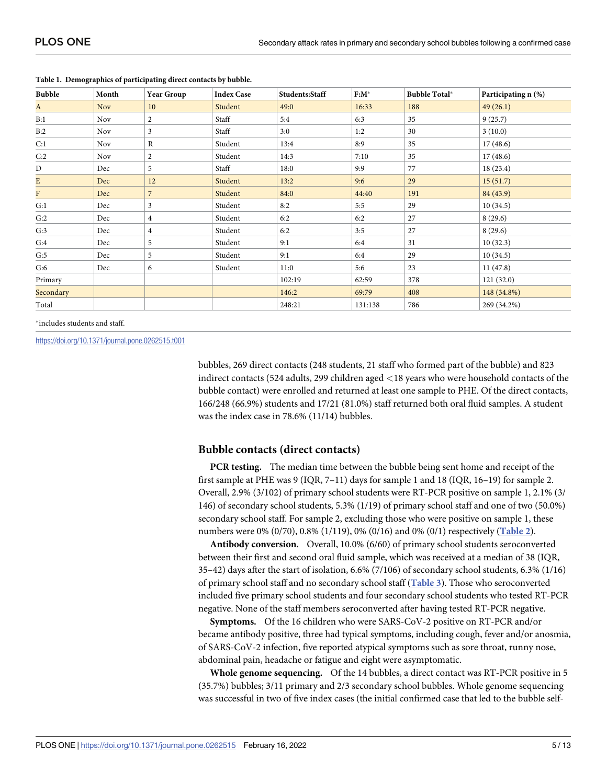| <b>Bubble</b> | Month      | <b>Year Group</b> | <b>Index Case</b> | Students:Staff | $F:M^*$ | <b>Bubble Total*</b> | Participating n (%) |
|---------------|------------|-------------------|-------------------|----------------|---------|----------------------|---------------------|
| $\mathbf{A}$  | Nov        | 10                | Student           | 49:0           | 16:33   | 188                  | 49(26.1)            |
| B:1           | <b>Nov</b> | 2                 | Staff             | 5:4            | 6:3     | 35                   | 9(25.7)             |
| B:2           | <b>Nov</b> | 3                 | Staff             | 3:0            | 1:2     | 30                   | 3(10.0)             |
| C:1           | <b>Nov</b> | $\mathbb{R}$      | Student           | 13:4           | 8:9     | 35                   | 17(48.6)            |
| C:2           | <b>Nov</b> | 2                 | Student           | 14:3           | 7:10    | 35                   | 17(48.6)            |
| D             | Dec        | 5                 | Staff             | 18:0           | 9:9     | 77                   | 18(23.4)            |
| E             | Dec        | 12                | Student           | 13:2           | 9:6     | 29                   | 15(51.7)            |
| F             | Dec        | $\overline{7}$    | Student           | 84:0           | 44:40   | 191                  | 84 (43.9)           |
| G:1           | Dec        | 3                 | Student           | 8:2            | 5:5     | 29                   | 10(34.5)            |
| G:2           | Dec        | $\overline{4}$    | Student           | 6:2            | 6:2     | 27                   | 8(29.6)             |
| G:3           | Dec        | 4                 | Student           | 6:2            | 3:5     | 27                   | 8(29.6)             |
| G:4           | Dec        | 5                 | Student           | 9:1            | 6:4     | 31                   | 10(32.3)            |
| G:5           | Dec        | 5                 | Student           | 9:1            | 6:4     | 29                   | 10(34.5)            |
| G:6           | Dec        | 6                 | Student           | 11:0           | 5:6     | 23                   | 11(47.8)            |
| Primary       |            |                   |                   | 102:19         | 62:59   | 378                  | 121(32.0)           |
| Secondary     |            |                   |                   | 146:2          | 69:79   | 408                  | 148 (34.8%)         |
| Total         |            |                   |                   | 248:21         | 131:138 | 786                  | 269 (34.2%)         |

<span id="page-4-0"></span>**[Table](#page-3-0) 1. Demographics of participating direct contacts by bubble.**

�includes students and staff.

<https://doi.org/10.1371/journal.pone.0262515.t001>

bubbles, 269 direct contacts (248 students, 21 staff who formed part of the bubble) and 823 indirect contacts (524 adults, 299 children aged *<*18 years who were household contacts of the bubble contact) were enrolled and returned at least one sample to PHE. Of the direct contacts, 166/248 (66.9%) students and 17/21 (81.0%) staff returned both oral fluid samples. A student was the index case in 78.6% (11/14) bubbles.

#### **Bubble contacts (direct contacts)**

**PCR testing.** The median time between the bubble being sent home and receipt of the first sample at PHE was 9 (IQR, 7–11) days for sample 1 and 18 (IQR, 16–19) for sample 2. Overall, 2.9% (3/102) of primary school students were RT-PCR positive on sample 1, 2.1% (3/ 146) of secondary school students, 5.3% (1/19) of primary school staff and one of two (50.0%) secondary school staff. For sample 2, excluding those who were positive on sample 1, these numbers were 0% (0/70), 0.8% (1/119), 0% (0/16) and 0% (0/1) respectively (**[Table](#page-5-0) 2**).

**Antibody conversion.** Overall, 10.0% (6/60) of primary school students seroconverted between their first and second oral fluid sample, which was received at a median of 38 (IQR, 35–42) days after the start of isolation, 6.6% (7/106) of secondary school students, 6.3% (1/16) of primary school staff and no secondary school staff (**[Table](#page-6-0) 3**). Those who seroconverted included five primary school students and four secondary school students who tested RT-PCR negative. None of the staff members seroconverted after having tested RT-PCR negative.

**Symptoms.** Of the 16 children who were SARS-CoV-2 positive on RT-PCR and/or became antibody positive, three had typical symptoms, including cough, fever and/or anosmia, of SARS-CoV-2 infection, five reported atypical symptoms such as sore throat, runny nose, abdominal pain, headache or fatigue and eight were asymptomatic.

**Whole genome sequencing.** Of the 14 bubbles, a direct contact was RT-PCR positive in 5 (35.7%) bubbles; 3/11 primary and 2/3 secondary school bubbles. Whole genome sequencing was successful in two of five index cases (the initial confirmed case that led to the bubble self-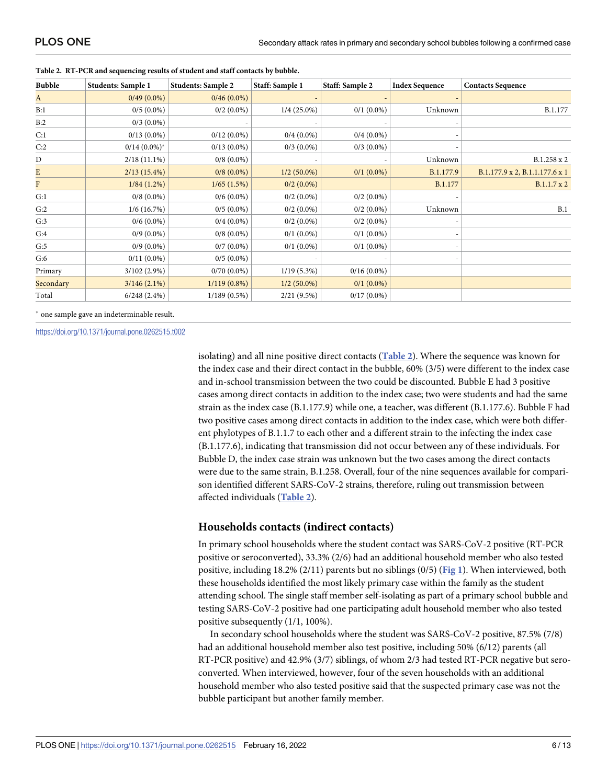| <b>Bubble</b> | <b>Students: Sample 1</b> | <b>Students: Sample 2</b> | Staff: Sample 1 | Staff: Sample 2 | <b>Index Sequence</b> | <b>Contacts Sequence</b>       |
|---------------|---------------------------|---------------------------|-----------------|-----------------|-----------------------|--------------------------------|
| A             | $0/49(0.0\%)$             | $0/46(0.0\%)$             |                 |                 |                       |                                |
| B:1           | $0/5(0.0\%)$              | $0/2$ (0.0%)              | $1/4(25.0\%)$   | $0/1$ (0.0%)    | Unknown               | B.1.177                        |
| B:2           | $0/3$ $(0.0\%)$           |                           |                 |                 |                       |                                |
| C:1           | $0/13(0.0\%)$             | $0/12(0.0\%)$             | $0/4(0.0\%)$    | $0/4(0.0\%)$    |                       |                                |
| C:2           | $0/14$ $(0.0\%)^*$        | $0/13(0.0\%)$             | $0/3(0.0\%)$    | $0/3$ (0.0%)    |                       |                                |
| $\mathbf D$   | $2/18(11.1\%)$            | $0/8$ $(0.0\%)$           |                 |                 | Unknown               | B.1.258 x 2                    |
| E             | $2/13(15.4\%)$            | $0/8(0.0\%)$              | $1/2(50.0\%)$   | $0/1$ (0.0%)    | B.1.177.9             | B.1.177.9 x 2, B.1.1.177.6 x 1 |
| $\mathbf{F}$  | $1/84(1.2\%)$             | 1/65(1.5%)                | $0/2(0.0\%)$    |                 | B.1.177               | B.1.1.7 x 2                    |
| G:1           | $0/8$ (0.0%)              | $0/6(0.0\%)$              | $0/2(0.0\%)$    | $0/2(0.0\%)$    |                       |                                |
| G:2           | 1/6(16.7%)                | $0/5(0.0\%)$              | $0/2$ (0.0%)    | $0/2(0.0\%)$    | Unknown               | B.1                            |
| G:3           | $0/6(0.0\%)$              | $0/4(0.0\%)$              | $0/2$ (0.0%)    | $0/2(0.0\%)$    |                       |                                |
| G:4           | $0/9(0.0\%)$              | $0/8$ $(0.0\%)$           | $0/1$ (0.0%)    | $0/1$ (0.0%)    |                       |                                |
| G:5           | $0/9(0.0\%)$              | $0/7(0.0\%)$              | $0/1$ (0.0%)    | $0/1$ (0.0%)    |                       |                                |
| G:6           | $0/11(0.0\%)$             | $0/5(0.0\%)$              |                 |                 |                       |                                |
| Primary       | $3/102(2.9\%)$            | $0/70(0.0\%)$             | $1/19(5.3\%)$   | $0/16(0.0\%)$   |                       |                                |
| Secondary     | $3/146(2.1\%)$            | $1/119(0.8\%)$            | $1/2(50.0\%)$   | $0/1$ (0.0%)    |                       |                                |
| Total         | 6/248(2.4%)               | $1/189(0.5\%)$            | 2/21(9.5%)      | $0/17(0.0\%)$   |                       |                                |

<span id="page-5-0"></span>**[Table](#page-4-0) 2. RT-PCR and sequencing results of student and staff contacts by bubble.**

� one sample gave an indeterminable result.

<https://doi.org/10.1371/journal.pone.0262515.t002>

isolating) and all nine positive direct contacts (**Table 2**). Where the sequence was known for the index case and their direct contact in the bubble, 60% (3/5) were different to the index case and in-school transmission between the two could be discounted. Bubble E had 3 positive cases among direct contacts in addition to the index case; two were students and had the same strain as the index case (B.1.177.9) while one, a teacher, was different (B.1.177.6). Bubble F had two positive cases among direct contacts in addition to the index case, which were both different phylotypes of B.1.1.7 to each other and a different strain to the infecting the index case (B.1.177.6), indicating that transmission did not occur between any of these individuals. For Bubble D, the index case strain was unknown but the two cases among the direct contacts were due to the same strain, B.1.258. Overall, four of the nine sequences available for comparison identified different SARS-CoV-2 strains, therefore, ruling out transmission between affected individuals (**Table 2**).

#### **Households contacts (indirect contacts)**

In primary school households where the student contact was SARS-CoV-2 positive (RT-PCR positive or seroconverted), 33.3% (2/6) had an additional household member who also tested positive, including 18.2% (2/11) parents but no siblings (0/5) (**[Fig](#page-6-0) 1**). When interviewed, both these households identified the most likely primary case within the family as the student attending school. The single staff member self-isolating as part of a primary school bubble and testing SARS-CoV-2 positive had one participating adult household member who also tested positive subsequently (1/1, 100%).

In secondary school households where the student was SARS-CoV-2 positive, 87.5% (7/8) had an additional household member also test positive, including 50% (6/12) parents (all RT-PCR positive) and 42.9% (3/7) siblings, of whom 2/3 had tested RT-PCR negative but seroconverted. When interviewed, however, four of the seven households with an additional household member who also tested positive said that the suspected primary case was not the bubble participant but another family member.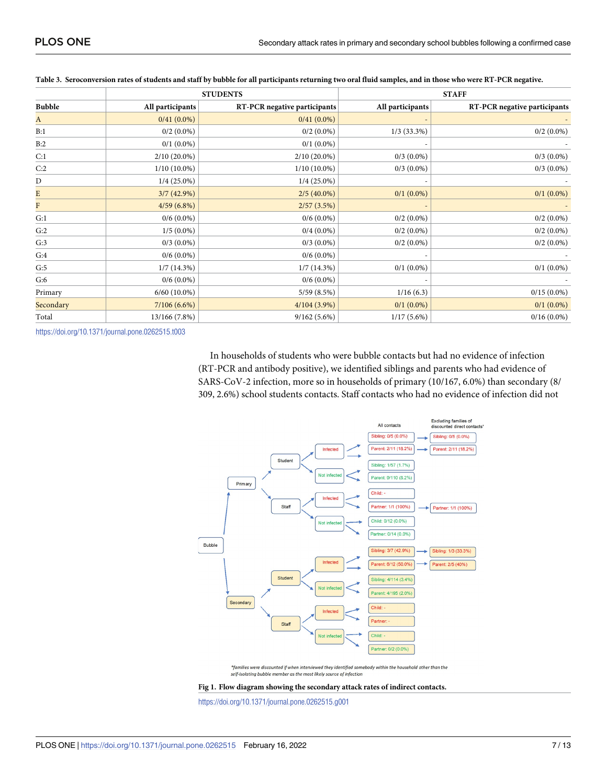|                |                  | <b>STUDENTS</b>              | <b>STAFF</b>     |                              |  |
|----------------|------------------|------------------------------|------------------|------------------------------|--|
| <b>Bubble</b>  | All participants | RT-PCR negative participants | All participants | RT-PCR negative participants |  |
| A              | $0/41(0.0\%)$    | $0/41(0.0\%)$                |                  |                              |  |
| B:1            | $0/2$ (0.0%)     | $0/2(0.0\%)$                 | $1/3$ (33.3%)    | $0/2$ (0.0%)                 |  |
| B:2            | $0/1$ $(0.0\%)$  | $0/1$ $(0.0\%)$              |                  |                              |  |
| C:1            | $2/10(20.0\%)$   | $2/10(20.0\%)$               | $0/3$ $(0.0\%)$  | $0/3$ $(0.0\%)$              |  |
| C:2            | $1/10(10.0\%)$   | $1/10(10.0\%)$               | $0/3$ $(0.0\%)$  | $0/3$ $(0.0\%)$              |  |
| $\mathbf D$    | $1/4$ (25.0%)    | $1/4$ (25.0%)                |                  |                              |  |
| E              | $3/7(42.9\%)$    | $2/5(40.0\%)$                | $0/1$ $(0.0\%)$  | $0/1$ (0.0%)                 |  |
| $\overline{F}$ | $4/59(6.8\%)$    | 2/57(3.5%)                   |                  |                              |  |
| G:1            | $0/6(0.0\%)$     | $0/6(0.0\%)$                 | $0/2$ (0.0%)     | $0/2$ (0.0%)                 |  |
| G:2            | $1/5(0.0\%)$     | $0/4(0.0\%)$                 | $0/2$ (0.0%)     | $0/2$ (0.0%)                 |  |
| G:3            | $0/3$ $(0.0\%)$  | $0/3$ $(0.0\%)$              | $0/2$ (0.0%)     | $0/2$ (0.0%)                 |  |
| G:4            | $0/6(0.0\%)$     | $0/6(0.0\%)$                 |                  |                              |  |
| G:5            | 1/7(14.3%)       | 1/7(14.3%)                   | $0/1$ $(0.0\%)$  | $0/1$ (0.0%)                 |  |
| G:6            | $0/6(0.0\%)$     | $0/6(0.0\%)$                 |                  |                              |  |
| Primary        | $6/60$ (10.0%)   | 5/59(8.5%)                   | 1/16(6.3)        | $0/15(0.0\%)$                |  |
| Secondary      | 7/106(6.6%)      | $4/104(3.9\%)$               | $0/1$ $(0.0\%)$  | $0/1$ (0.0%)                 |  |
| Total          | 13/166 (7.8%)    | $9/162(5.6\%)$               | $1/17(5.6\%)$    | $0/16(0.0\%)$                |  |

#### <span id="page-6-0"></span>[Table](#page-4-0) 3. Seroconversion rates of students and staff by bubble for all participants returning two oral fluid samples, and in those who were RT-PCR negative.

<https://doi.org/10.1371/journal.pone.0262515.t003>

In households of students who were bubble contacts but had no evidence of infection (RT-PCR and antibody positive), we identified siblings and parents who had evidence of SARS-CoV-2 infection, more so in households of primary (10/167, 6.0%) than secondary (8/ 309, 2.6%) school students contacts. Staff contacts who had no evidence of infection did not



\*families were discounted if when interviewed they identified somebody within the household other than the self-isolating bubble member as the most likely source of infection



<https://doi.org/10.1371/journal.pone.0262515.g001>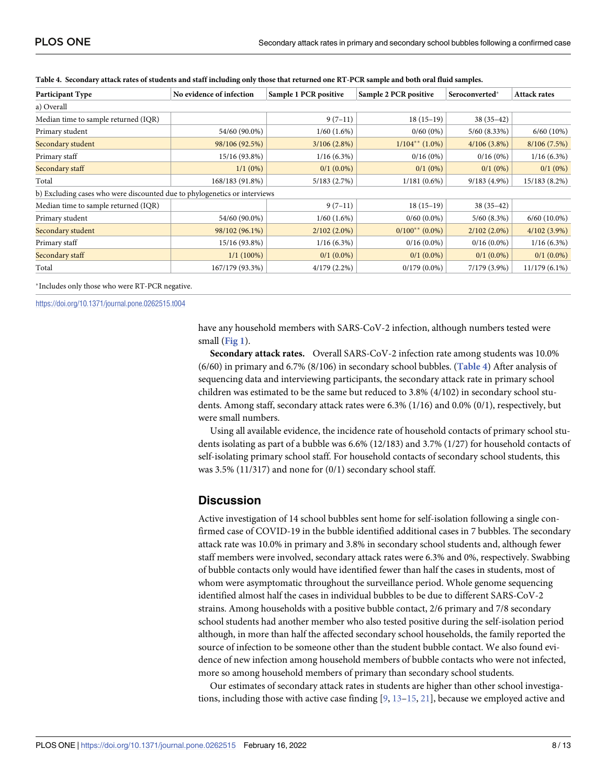| Participant Type                                                          | No evidence of infection | Sample 1 PCR positive | Sample 2 PCR positive | Seroconverted*    | <b>Attack rates</b> |  |  |
|---------------------------------------------------------------------------|--------------------------|-----------------------|-----------------------|-------------------|---------------------|--|--|
| a) Overall                                                                |                          |                       |                       |                   |                     |  |  |
| Median time to sample returned (IQR)                                      |                          | $9(7-11)$             | $18(15-19)$           | $38(35-42)$       |                     |  |  |
| Primary student                                                           | 54/60 (90.0%)            | 1/60(1.6%)            | $0/60(0\%)$           | $5/60$ $(8.33\%)$ | 6/60(10%)           |  |  |
| Secondary student                                                         | 98/106 (92.5%)           | 3/106(2.8%)           | $1/104^{**}$ (1.0%)   | $4/106(3.8\%)$    | 8/106(7.5%)         |  |  |
| Primary staff                                                             | 15/16 (93.8%)            | $1/16(6.3\%)$         | 0/16(0%)              | 0/16(0%)          | $1/16(6.3\%)$       |  |  |
| Secondary staff                                                           | $1/1(0\%)$               | $0/1$ (0.0%)          | $0/1(0\%)$            | $0/1(0\%)$        | $0/1(0\%)$          |  |  |
| Total                                                                     | 168/183 (91.8%)          | 5/183(2.7%)           | $1/181(0.6\%)$        | $9/183(4.9\%)$    | 15/183 (8.2%)       |  |  |
| b) Excluding cases who were discounted due to phylogenetics or interviews |                          |                       |                       |                   |                     |  |  |
| Median time to sample returned (IQR)                                      |                          | $9(7-11)$             | $18(15-19)$           | $38(35-42)$       |                     |  |  |
| Primary student                                                           | 54/60 (90.0%)            | 1/60(1.6%)            | $0/60(0.0\%)$         | $5/60$ $(8.3\%)$  | $6/60$ (10.0%)      |  |  |
| Secondary student                                                         | 98/102 (96.1%)           | $2/102(2.0\%)$        | $0/100^{**}$ (0.0%)   | $2/102(2.0\%)$    | $4/102(3.9\%)$      |  |  |
| Primary staff                                                             | 15/16 (93.8%)            | $1/16(6.3\%)$         | $0/16(0.0\%)$         | $0/16(0.0\%)$     | $1/16(6.3\%)$       |  |  |
| Secondary staff                                                           | $1/1(100\%)$             | $0/1$ (0.0%)          | $0/1$ (0.0%)          | $0/1$ $(0.0\%)$   | $0/1$ (0.0%)        |  |  |
| Total                                                                     | 167/179 (93.3%)          | $4/179(2.2\%)$        | $0/179(0.0\%)$        | 7/179 (3.9%)      | $11/179(6.1\%)$     |  |  |

<span id="page-7-0"></span>

|  |  |  | Table 4. Secondary attack rates of students and staff including only those that returned one RT-PCR sample and both oral fluid samples. |  |  |
|--|--|--|-----------------------------------------------------------------------------------------------------------------------------------------|--|--|
|--|--|--|-----------------------------------------------------------------------------------------------------------------------------------------|--|--|

�Includes only those who were RT-PCR negative.

<https://doi.org/10.1371/journal.pone.0262515.t004>

have any household members with SARS-CoV-2 infection, although numbers tested were small (**[Fig](#page-6-0) 1**).

**Secondary attack rates.** Overall SARS-CoV-2 infection rate among students was 10.0% (6/60) in primary and 6.7% (8/106) in secondary school bubbles. (**Table 4**) After analysis of sequencing data and interviewing participants, the secondary attack rate in primary school children was estimated to be the same but reduced to 3.8% (4/102) in secondary school students. Among staff, secondary attack rates were 6.3% (1/16) and 0.0% (0/1), respectively, but were small numbers.

Using all available evidence, the incidence rate of household contacts of primary school students isolating as part of a bubble was 6.6% (12/183) and 3.7% (1/27) for household contacts of self-isolating primary school staff. For household contacts of secondary school students, this was 3.5% (11/317) and none for (0/1) secondary school staff.

#### **Discussion**

Active investigation of 14 school bubbles sent home for self-isolation following a single confirmed case of COVID-19 in the bubble identified additional cases in 7 bubbles. The secondary attack rate was 10.0% in primary and 3.8% in secondary school students and, although fewer staff members were involved, secondary attack rates were 6.3% and 0%, respectively. Swabbing of bubble contacts only would have identified fewer than half the cases in students, most of whom were asymptomatic throughout the surveillance period. Whole genome sequencing identified almost half the cases in individual bubbles to be due to different SARS-CoV-2 strains. Among households with a positive bubble contact, 2/6 primary and 7/8 secondary school students had another member who also tested positive during the self-isolation period although, in more than half the affected secondary school households, the family reported the source of infection to be someone other than the student bubble contact. We also found evidence of new infection among household members of bubble contacts who were not infected, more so among household members of primary than secondary school students.

Our estimates of secondary attack rates in students are higher than other school investigations, including those with active case finding  $[9, 13-15, 21]$  $[9, 13-15, 21]$  $[9, 13-15, 21]$  $[9, 13-15, 21]$  $[9, 13-15, 21]$  $[9, 13-15, 21]$  $[9, 13-15, 21]$  $[9, 13-15, 21]$ , because we employed active and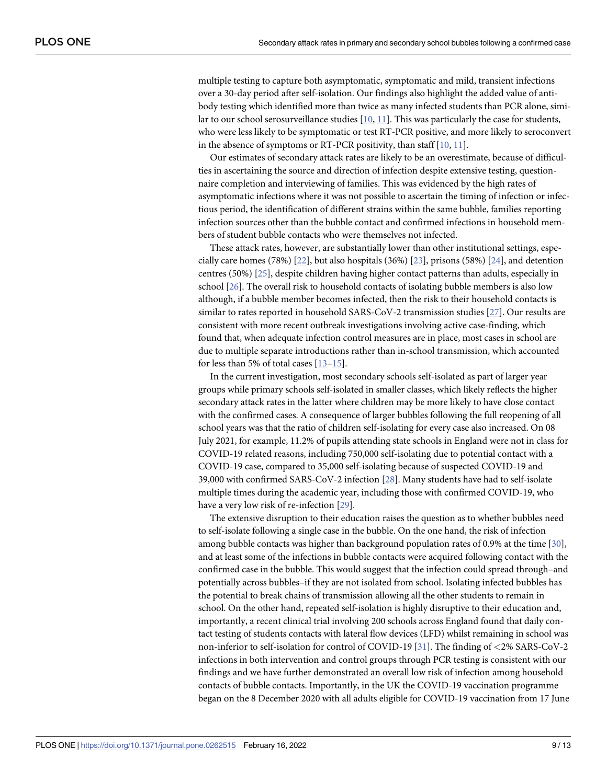<span id="page-8-0"></span>multiple testing to capture both asymptomatic, symptomatic and mild, transient infections over a 30-day period after self-isolation. Our findings also highlight the added value of antibody testing which identified more than twice as many infected students than PCR alone, simi-lar to our school serosurveillance studies [[10](#page-11-0), [11\]](#page-11-0). This was particularly the case for students, who were less likely to be symptomatic or test RT-PCR positive, and more likely to seroconvert in the absence of symptoms or RT-PCR positivity, than staff [[10](#page-11-0), [11](#page-11-0)].

Our estimates of secondary attack rates are likely to be an overestimate, because of difficulties in ascertaining the source and direction of infection despite extensive testing, questionnaire completion and interviewing of families. This was evidenced by the high rates of asymptomatic infections where it was not possible to ascertain the timing of infection or infectious period, the identification of different strains within the same bubble, families reporting infection sources other than the bubble contact and confirmed infections in household members of student bubble contacts who were themselves not infected.

These attack rates, however, are substantially lower than other institutional settings, especially care homes (78%) [[22](#page-11-0)], but also hospitals (36%) [\[23\]](#page-12-0), prisons (58%) [[24](#page-12-0)], and detention centres (50%) [\[25\]](#page-12-0), despite children having higher contact patterns than adults, especially in school [\[26\]](#page-12-0). The overall risk to household contacts of isolating bubble members is also low although, if a bubble member becomes infected, then the risk to their household contacts is similar to rates reported in household SARS-CoV-2 transmission studies [\[27](#page-12-0)]. Our results are consistent with more recent outbreak investigations involving active case-finding, which found that, when adequate infection control measures are in place, most cases in school are due to multiple separate introductions rather than in-school transmission, which accounted for less than 5% of total cases [[13–15\]](#page-11-0).

In the current investigation, most secondary schools self-isolated as part of larger year groups while primary schools self-isolated in smaller classes, which likely reflects the higher secondary attack rates in the latter where children may be more likely to have close contact with the confirmed cases. A consequence of larger bubbles following the full reopening of all school years was that the ratio of children self-isolating for every case also increased. On 08 July 2021, for example, 11.2% of pupils attending state schools in England were not in class for COVID-19 related reasons, including 750,000 self-isolating due to potential contact with a COVID-19 case, compared to 35,000 self-isolating because of suspected COVID-19 and 39,000 with confirmed SARS-CoV-2 infection [[28](#page-12-0)]. Many students have had to self-isolate multiple times during the academic year, including those with confirmed COVID-19, who have a very low risk of re-infection [\[29\]](#page-12-0).

The extensive disruption to their education raises the question as to whether bubbles need to self-isolate following a single case in the bubble. On the one hand, the risk of infection among bubble contacts was higher than background population rates of 0.9% at the time [[30](#page-12-0)], and at least some of the infections in bubble contacts were acquired following contact with the confirmed case in the bubble. This would suggest that the infection could spread through–and potentially across bubbles–if they are not isolated from school. Isolating infected bubbles has the potential to break chains of transmission allowing all the other students to remain in school. On the other hand, repeated self-isolation is highly disruptive to their education and, importantly, a recent clinical trial involving 200 schools across England found that daily contact testing of students contacts with lateral flow devices (LFD) whilst remaining in school was non-inferior to self-isolation for control of COVID-19 [\[31\]](#page-12-0). The finding of *<*2% SARS-CoV-2 infections in both intervention and control groups through PCR testing is consistent with our findings and we have further demonstrated an overall low risk of infection among household contacts of bubble contacts. Importantly, in the UK the COVID-19 vaccination programme began on the 8 December 2020 with all adults eligible for COVID-19 vaccination from 17 June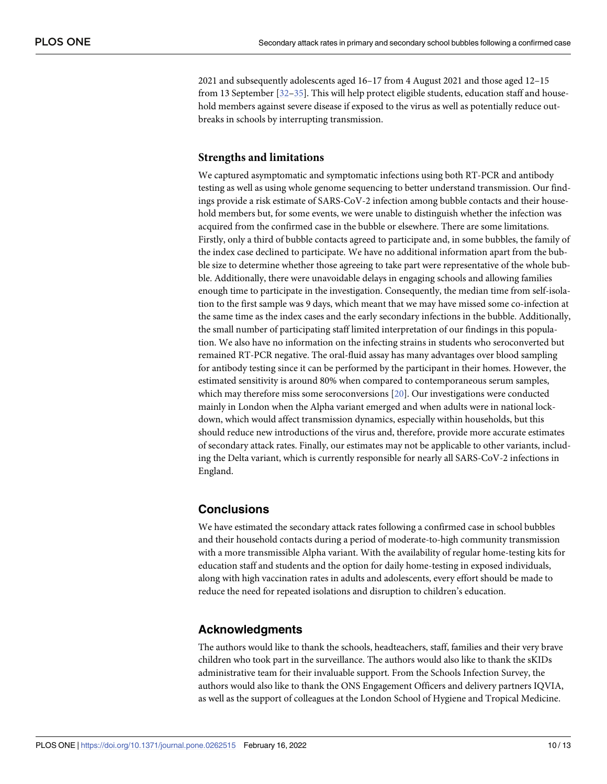<span id="page-9-0"></span>2021 and subsequently adolescents aged 16–17 from 4 August 2021 and those aged 12–15 from 13 September [\[32](#page-12-0)–[35](#page-12-0)]. This will help protect eligible students, education staff and household members against severe disease if exposed to the virus as well as potentially reduce outbreaks in schools by interrupting transmission.

## **Strengths and limitations**

We captured asymptomatic and symptomatic infections using both RT-PCR and antibody testing as well as using whole genome sequencing to better understand transmission. Our findings provide a risk estimate of SARS-CoV-2 infection among bubble contacts and their household members but, for some events, we were unable to distinguish whether the infection was acquired from the confirmed case in the bubble or elsewhere. There are some limitations. Firstly, only a third of bubble contacts agreed to participate and, in some bubbles, the family of the index case declined to participate. We have no additional information apart from the bubble size to determine whether those agreeing to take part were representative of the whole bubble. Additionally, there were unavoidable delays in engaging schools and allowing families enough time to participate in the investigation. Consequently, the median time from self-isolation to the first sample was 9 days, which meant that we may have missed some co-infection at the same time as the index cases and the early secondary infections in the bubble. Additionally, the small number of participating staff limited interpretation of our findings in this population. We also have no information on the infecting strains in students who seroconverted but remained RT-PCR negative. The oral-fluid assay has many advantages over blood sampling for antibody testing since it can be performed by the participant in their homes. However, the estimated sensitivity is around 80% when compared to contemporaneous serum samples, which may therefore miss some seroconversions [[20](#page-11-0)]. Our investigations were conducted mainly in London when the Alpha variant emerged and when adults were in national lockdown, which would affect transmission dynamics, especially within households, but this should reduce new introductions of the virus and, therefore, provide more accurate estimates of secondary attack rates. Finally, our estimates may not be applicable to other variants, including the Delta variant, which is currently responsible for nearly all SARS-CoV-2 infections in England.

# **Conclusions**

We have estimated the secondary attack rates following a confirmed case in school bubbles and their household contacts during a period of moderate-to-high community transmission with a more transmissible Alpha variant. With the availability of regular home-testing kits for education staff and students and the option for daily home-testing in exposed individuals, along with high vaccination rates in adults and adolescents, every effort should be made to reduce the need for repeated isolations and disruption to children's education.

# **Acknowledgments**

The authors would like to thank the schools, headteachers, staff, families and their very brave children who took part in the surveillance. The authors would also like to thank the sKIDs administrative team for their invaluable support. From the Schools Infection Survey, the authors would also like to thank the ONS Engagement Officers and delivery partners IQVIA, as well as the support of colleagues at the London School of Hygiene and Tropical Medicine.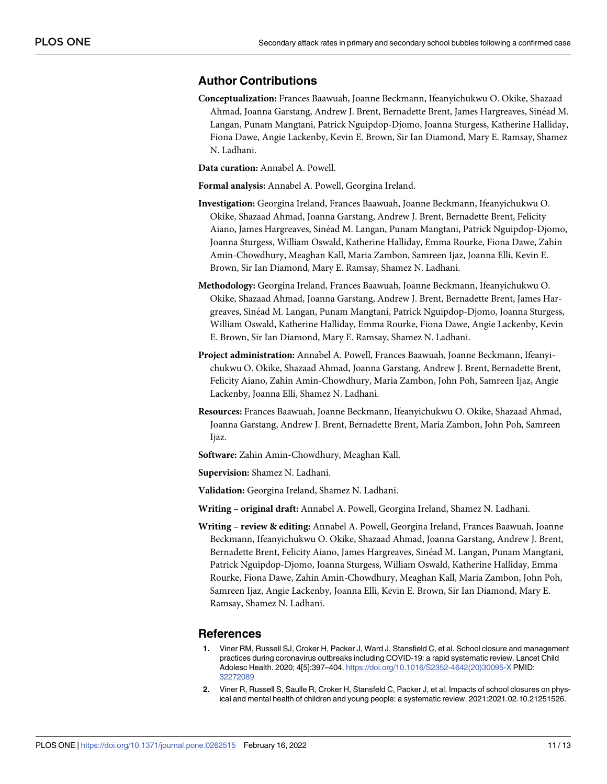## <span id="page-10-0"></span>**Author Contributions**

- **Conceptualization:** Frances Baawuah, Joanne Beckmann, Ifeanyichukwu O. Okike, Shazaad Ahmad, Joanna Garstang, Andrew J. Brent, Bernadette Brent, James Hargreaves, Sinéad M. Langan, Punam Mangtani, Patrick Nguipdop-Djomo, Joanna Sturgess, Katherine Halliday, Fiona Dawe, Angie Lackenby, Kevin E. Brown, Sir Ian Diamond, Mary E. Ramsay, Shamez N. Ladhani.
- **Data curation:** Annabel A. Powell.

**Formal analysis:** Annabel A. Powell, Georgina Ireland.

- **Investigation:** Georgina Ireland, Frances Baawuah, Joanne Beckmann, Ifeanyichukwu O. Okike, Shazaad Ahmad, Joanna Garstang, Andrew J. Brent, Bernadette Brent, Felicity Aiano, James Hargreaves, Sinéad M. Langan, Punam Mangtani, Patrick Nguipdop-Djomo, Joanna Sturgess, William Oswald, Katherine Halliday, Emma Rourke, Fiona Dawe, Zahin Amin-Chowdhury, Meaghan Kall, Maria Zambon, Samreen Ijaz, Joanna Elli, Kevin E. Brown, Sir Ian Diamond, Mary E. Ramsay, Shamez N. Ladhani.
- **Methodology:** Georgina Ireland, Frances Baawuah, Joanne Beckmann, Ifeanyichukwu O. Okike, Shazaad Ahmad, Joanna Garstang, Andrew J. Brent, Bernadette Brent, James Hargreaves, Sine´ad M. Langan, Punam Mangtani, Patrick Nguipdop-Djomo, Joanna Sturgess, William Oswald, Katherine Halliday, Emma Rourke, Fiona Dawe, Angie Lackenby, Kevin E. Brown, Sir Ian Diamond, Mary E. Ramsay, Shamez N. Ladhani.
- **Project administration:** Annabel A. Powell, Frances Baawuah, Joanne Beckmann, Ifeanyichukwu O. Okike, Shazaad Ahmad, Joanna Garstang, Andrew J. Brent, Bernadette Brent, Felicity Aiano, Zahin Amin-Chowdhury, Maria Zambon, John Poh, Samreen Ijaz, Angie Lackenby, Joanna Elli, Shamez N. Ladhani.
- **Resources:** Frances Baawuah, Joanne Beckmann, Ifeanyichukwu O. Okike, Shazaad Ahmad, Joanna Garstang, Andrew J. Brent, Bernadette Brent, Maria Zambon, John Poh, Samreen Ijaz.
- **Software:** Zahin Amin-Chowdhury, Meaghan Kall.

**Supervision:** Shamez N. Ladhani.

- **Validation:** Georgina Ireland, Shamez N. Ladhani.
- **Writing – original draft:** Annabel A. Powell, Georgina Ireland, Shamez N. Ladhani.
- **Writing – review & editing:** Annabel A. Powell, Georgina Ireland, Frances Baawuah, Joanne Beckmann, Ifeanyichukwu O. Okike, Shazaad Ahmad, Joanna Garstang, Andrew J. Brent, Bernadette Brent, Felicity Aiano, James Hargreaves, Sinéad M. Langan, Punam Mangtani, Patrick Nguipdop-Djomo, Joanna Sturgess, William Oswald, Katherine Halliday, Emma Rourke, Fiona Dawe, Zahin Amin-Chowdhury, Meaghan Kall, Maria Zambon, John Poh, Samreen Ijaz, Angie Lackenby, Joanna Elli, Kevin E. Brown, Sir Ian Diamond, Mary E. Ramsay, Shamez N. Ladhani.

#### **References**

- **[1](#page-1-0).** Viner RM, Russell SJ, Croker H, Packer J, Ward J, Stansfield C, et al. School closure and management practices during coronavirus outbreaks including COVID-19: a rapid systematic review. Lancet Child Adolesc Health. 2020; 4[5]:397–404. [https://doi.org/10.1016/S2352-4642\(20\)30095-X](https://doi.org/10.1016/S2352-4642%2820%2930095-X) PMID: [32272089](http://www.ncbi.nlm.nih.gov/pubmed/32272089)
- **[2](#page-1-0).** Viner R, Russell S, Saulle R, Croker H, Stansfeld C, Packer J, et al. Impacts of school closures on physical and mental health of children and young people: a systematic review. 2021:2021.02.10.21251526.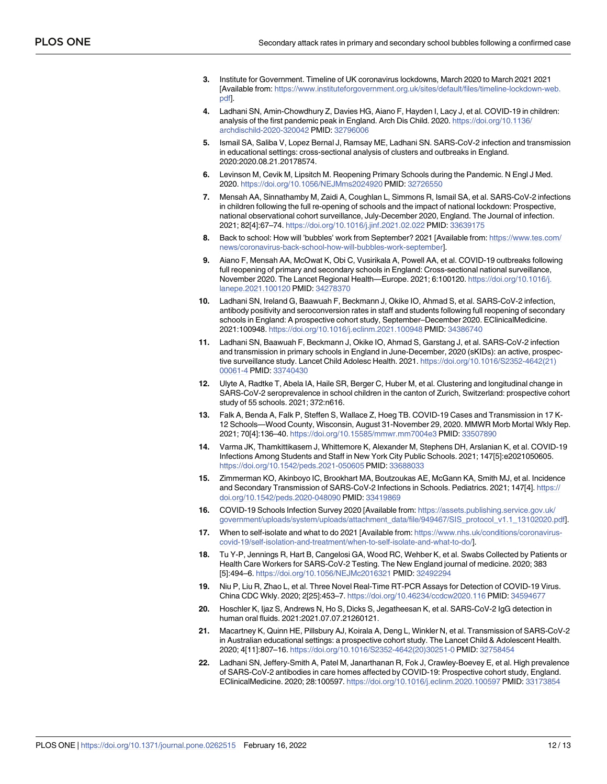- <span id="page-11-0"></span>**[3](#page-1-0).** Institute for Government. Timeline of UK coronavirus lockdowns, March 2020 to March 2021 2021 [Available from: [https://www.instituteforgovernment.org.uk/sites/default/files/timeline-lockdown-web.](https://www.instituteforgovernment.org.uk/sites/default/files/timeline-lockdown-web.pdf) [pdf](https://www.instituteforgovernment.org.uk/sites/default/files/timeline-lockdown-web.pdf)].
- **[4](#page-1-0).** Ladhani SN, Amin-Chowdhury Z, Davies HG, Aiano F, Hayden I, Lacy J, et al. COVID-19 in children: analysis of the first pandemic peak in England. Arch Dis Child. 2020. [https://doi.org/10.1136/](https://doi.org/10.1136/archdischild-2020-320042) [archdischild-2020-320042](https://doi.org/10.1136/archdischild-2020-320042) PMID: [32796006](http://www.ncbi.nlm.nih.gov/pubmed/32796006)
- **[5](#page-1-0).** Ismail SA, Saliba V, Lopez Bernal J, Ramsay ME, Ladhani SN. SARS-CoV-2 infection and transmission in educational settings: cross-sectional analysis of clusters and outbreaks in England. 2020:2020.08.21.20178574.
- **[6](#page-1-0).** Levinson M, Cevik M, Lipsitch M. Reopening Primary Schools during the Pandemic. N Engl J Med. 2020. <https://doi.org/10.1056/NEJMms2024920> PMID: [32726550](http://www.ncbi.nlm.nih.gov/pubmed/32726550)
- **[7](#page-1-0).** Mensah AA, Sinnathamby M, Zaidi A, Coughlan L, Simmons R, Ismail SA, et al. SARS-CoV-2 infections in children following the full re-opening of schools and the impact of national lockdown: Prospective, national observational cohort surveillance, July-December 2020, England. The Journal of infection. 2021; 82[4]:67–74. <https://doi.org/10.1016/j.jinf.2021.02.022> PMID: [33639175](http://www.ncbi.nlm.nih.gov/pubmed/33639175)
- **[8](#page-2-0).** Back to school: How will 'bubbles' work from September? 2021 [Available from: [https://www.tes.com/](https://www.tes.com/news/coronavirus-back-school-how-will-bubbles-work-september) [news/coronavirus-back-school-how-will-bubbles-work-september\]](https://www.tes.com/news/coronavirus-back-school-how-will-bubbles-work-september).
- **[9](#page-2-0).** Aiano F, Mensah AA, McOwat K, Obi C, Vusirikala A, Powell AA, et al. COVID-19 outbreaks following full reopening of primary and secondary schools in England: Cross-sectional national surveillance, November 2020. The Lancet Regional Health—Europe. 2021; 6:100120. [https://doi.org/10.1016/j.](https://doi.org/10.1016/j.lanepe.2021.100120) [lanepe.2021.100120](https://doi.org/10.1016/j.lanepe.2021.100120) PMID: [34278370](http://www.ncbi.nlm.nih.gov/pubmed/34278370)
- **[10](#page-8-0).** Ladhani SN, Ireland G, Baawuah F, Beckmann J, Okike IO, Ahmad S, et al. SARS-CoV-2 infection, antibody positivity and seroconversion rates in staff and students following full reopening of secondary schools in England: A prospective cohort study, September–December 2020. EClinicalMedicine. 2021:100948. <https://doi.org/10.1016/j.eclinm.2021.100948> PMID: [34386740](http://www.ncbi.nlm.nih.gov/pubmed/34386740)
- **[11](#page-8-0).** Ladhani SN, Baawuah F, Beckmann J, Okike IO, Ahmad S, Garstang J, et al. SARS-CoV-2 infection and transmission in primary schools in England in June-December, 2020 (sKIDs): an active, prospective surveillance study. Lancet Child Adolesc Health. 2021. [https://doi.org/10.1016/S2352-4642\(21\)](https://doi.org/10.1016/S2352-4642%2821%2900061-4) [00061-4](https://doi.org/10.1016/S2352-4642%2821%2900061-4) PMID: [33740430](http://www.ncbi.nlm.nih.gov/pubmed/33740430)
- **[12](#page-2-0).** Ulyte A, Radtke T, Abela IA, Haile SR, Berger C, Huber M, et al. Clustering and longitudinal change in SARS-CoV-2 seroprevalence in school children in the canton of Zurich, Switzerland: prospective cohort study of 55 schools. 2021; 372:n616.
- **[13](#page-7-0).** Falk A, Benda A, Falk P, Steffen S, Wallace Z, Hoeg TB. COVID-19 Cases and Transmission in 17 K-12 Schools—Wood County, Wisconsin, August 31-November 29, 2020. MMWR Morb Mortal Wkly Rep. 2021; 70[4]:136–40. <https://doi.org/10.15585/mmwr.mm7004e3> PMID: [33507890](http://www.ncbi.nlm.nih.gov/pubmed/33507890)
- **14.** Varma JK, Thamkittikasem J, Whittemore K, Alexander M, Stephens DH, Arslanian K, et al. COVID-19 Infections Among Students and Staff in New York City Public Schools. 2021; 147[5]:e2021050605. <https://doi.org/10.1542/peds.2021-050605> PMID: [33688033](http://www.ncbi.nlm.nih.gov/pubmed/33688033)
- **[15](#page-2-0).** Zimmerman KO, Akinboyo IC, Brookhart MA, Boutzoukas AE, McGann KA, Smith MJ, et al. Incidence and Secondary Transmission of SARS-CoV-2 Infections in Schools. Pediatrics. 2021; 147[4]. [https://](https://doi.org/10.1542/peds.2020-048090) [doi.org/10.1542/peds.2020-048090](https://doi.org/10.1542/peds.2020-048090) PMID: [33419869](http://www.ncbi.nlm.nih.gov/pubmed/33419869)
- **[16](#page-2-0).** COVID-19 Schools Infection Survey 2020 [Available from: [https://assets.publishing.service.gov.uk/](https://assets.publishing.service.gov.uk/government/uploads/system/uploads/attachment_data/file/949467/SIS_protocol_v1.1_13102020.pdf) [government/uploads/system/uploads/attachment\\_data/file/949467/SIS\\_protocol\\_v1.1\\_13102020.pdf\]](https://assets.publishing.service.gov.uk/government/uploads/system/uploads/attachment_data/file/949467/SIS_protocol_v1.1_13102020.pdf).
- **[17](#page-2-0).** When to self-isolate and what to do 2021 [Available from: [https://www.nhs.uk/conditions/coronavirus](https://www.nhs.uk/conditions/coronavirus-covid-19/self-isolation-and-treatment/when-to-self-isolate-and-what-to-do/)[covid-19/self-isolation-and-treatment/when-to-self-isolate-and-what-to-do/\]](https://www.nhs.uk/conditions/coronavirus-covid-19/self-isolation-and-treatment/when-to-self-isolate-and-what-to-do/).
- **[18](#page-3-0).** Tu Y-P, Jennings R, Hart B, Cangelosi GA, Wood RC, Wehber K, et al. Swabs Collected by Patients or Health Care Workers for SARS-CoV-2 Testing. The New England journal of medicine. 2020; 383 [5]:494–6. <https://doi.org/10.1056/NEJMc2016321> PMID: [32492294](http://www.ncbi.nlm.nih.gov/pubmed/32492294)
- **[19](#page-3-0).** Niu P, Liu R, Zhao L, et al. Three Novel Real-Time RT-PCR Assays for Detection of COVID-19 Virus. China CDC Wkly. 2020; 2[25]:453–7. <https://doi.org/10.46234/ccdcw2020.116> PMID: [34594677](http://www.ncbi.nlm.nih.gov/pubmed/34594677)
- **[20](#page-9-0).** Hoschler K, Ijaz S, Andrews N, Ho S, Dicks S, Jegatheesan K, et al. SARS-CoV-2 IgG detection in human oral fluids. 2021:2021.07.07.21260121.
- **[21](#page-7-0).** Macartney K, Quinn HE, Pillsbury AJ, Koirala A, Deng L, Winkler N, et al. Transmission of SARS-CoV-2 in Australian educational settings: a prospective cohort study. The Lancet Child & Adolescent Health. 2020; 4[11]:807–16. [https://doi.org/10.1016/S2352-4642\(20\)30251-0](https://doi.org/10.1016/S2352-4642%2820%2930251-0) PMID: [32758454](http://www.ncbi.nlm.nih.gov/pubmed/32758454)
- **[22](#page-8-0).** Ladhani SN, Jeffery-Smith A, Patel M, Janarthanan R, Fok J, Crawley-Boevey E, et al. High prevalence of SARS-CoV-2 antibodies in care homes affected by COVID-19: Prospective cohort study, England. EClinicalMedicine. 2020; 28:100597. <https://doi.org/10.1016/j.eclinm.2020.100597> PMID: [33173854](http://www.ncbi.nlm.nih.gov/pubmed/33173854)